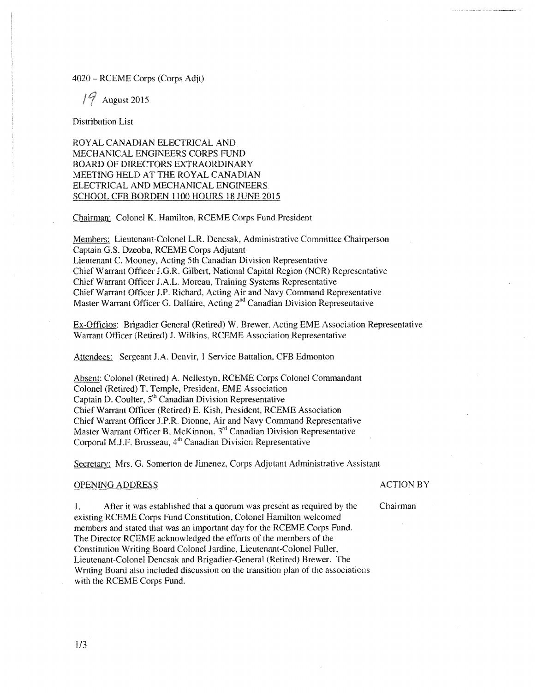## 4020 RCEME Corps (Corps Adjt)

August 2015

Distribution List

ROYAL CANADIAN ELECTRICAL AND MECHANICAL ENGINEERS CORPS FUND BOARD OF DIRECTORS EXTRAORDINARY MEETING HELD AT THE ROYAL CANADIAN ELECTRICAL AND MECHANICAL ENGINEERS SCHOOL CFB BORDEN 1100 HOURS 18 JUNE 2015

Chairman: Colonel K. Hamilton, RCEME Corps Fund President

Members: Lieutenant-Colonel LR. Dencsak, Administrative Committee Chairperson Captain G.S. Dzeoba, RCEME Corps Adjutant Lieutenant C. Mooney, Acting 5th Canadian Division Representative Chief Warrant Officer J.G.R. Gilbert, National Capital Region (NCR) Representative Chief Warrant Officer J .A.L. Moreau, Training Systems Representative Chief Warrant Officer J.P. Richard, Acting Afr and Navy Command Representative Master Warrant Officer G. Dallaire, Acting  $2<sup>nd</sup>$  Canadian Division Representative

Ex-Officios: Brigadier General (Retired) W. Brewer. Acting EME Association Representative Warrant Officer (Retired) J. Wilkins. RCEME Association Representative

Attendees: Sergeant J.A. Denvir, I Service Battalion, CFB Edmonton

Absent: Colonel (Retired) A. Nellestyn, RCEME Corps Colonel Commandant Colonel (Retired) T. Temple, President, EME Association Captain D. Coulter, 5<sup>th</sup> Canadian Division Representative Chief Warrant Officer (Retired) E. Kish, President, RCEME Association Chief Warrant Officer J.P.R. Dionne, Air and Navy Command Representative Master Warrant Officer B. McKinnon,  $3<sup>rd</sup>$  Canadian Division Representative Corporal M.J.F. Brosseau, 4<sup>th</sup> Canadian Division Representative

Secretary: Mrs. G. Somerton de Jimenez, Corps Adjutant Administrative Assistant

### OPENING ADDRESS ACTION BY

1. After it was established that a quorum was present as required by the Chairman existing RCEME Corps Fund Constitution, Colonel Hamilton welcomed members and stated that was an important day for the RCEME Corps Fund. The Director RCEME acknowledged the efforts of the members of the Constitution Writing Board Colonel Jardine, Lieutenant-Colonel Fuller. Lieutenant-Colonel Dencsak and Brigadier-General (Retired) Brewer. The Writing Board also included discussion on the transition plan of the associations with the RCEME Corps Fund.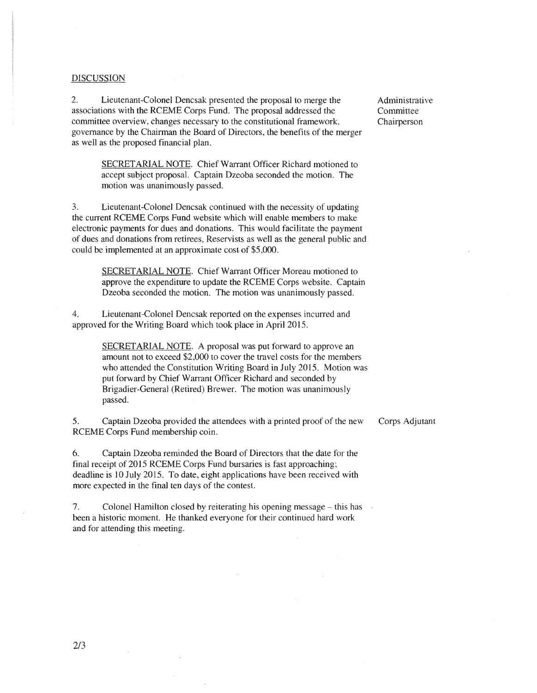### DISCUSSION

2. Lieutenant-Colonel Dencsak presented the proposal to merge the associations with the RCEME Corps Fund. The proposal addressed the committee overview, changes necessary to the constitutional framework, governance by the Chairman the Board of Directors, the benefits of the merger as well as the proposed financial plan.

> SECRETARIAL NOTE. Chief Warrant Officer Richard motioned to accept subject proposal. Captain Dzeoba seconded the motion. The motion was unanimously passed.

3. Lieutenant-Colonel Dencsak continued with the necessity of updating the current RCEME Corps Fund website which will enable members to make electronic payments for dues and donations. This would facilitate the payment of dues and donations from retirees, Reservists as well as the general public and could be implemented at an approximate cost of \$5.000.

SECRETARIAL NOTE. Chief Warrant Officer Moreau motioned to approve the expenditure to update the RCEME Corps website. Captain Dzeoba seconded the motion. The motion was unanimously passed.

4. Lieutenant-Colonel Dencsak reported on the expenses incuned and approved for the Writing Board which took place in April 2015.

> SECRET ARIAL NOTE. A proposal was put forward to approve an amount not to exceed \$2,000 to cover the travel costs for the members who attended the Constitution Writing Board in July 2015. Motion was put forward by Chief Warrant Officer Richard and seconded by Brigadier-General (Retired) Brewer. The motion was unanimously passed.

5. Captain Dzeoba provided the attendees with a printed proof of the new RCEME Corps Fund membership coin.

6. Captain Dzeoba reminded the Board of Directors that the date for the final receipt of 2015 RCEME Corps Fund bursaries is fast approaching; deadline is 10 July 2015. To date, eight applications have been received with more expected in the final ten days of the contest.

7. Colonel Hamilton closed by reiterating his opening message – this has been a historic moment. He thanked everyone for their continued hard work and for attending this meeting.

Administrative Committee Chairperson

Corps Adjutant